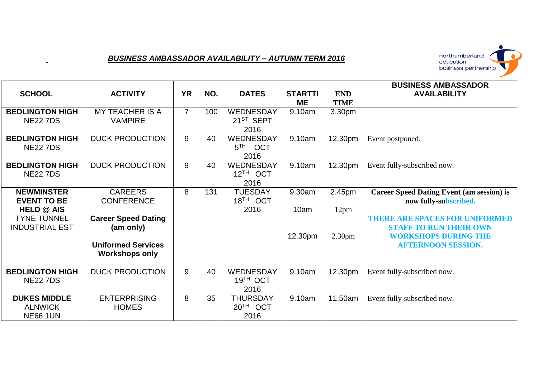## *BUSINESS AMBASSADOR AVAILABILITY – AUTUMN TERM 2016*



| <b>SCHOOL</b>                                                                                               | <b>ACTIVITY</b>                                                                                             | <b>YR</b>      | NO. | <b>DATES</b>                                    | <b>STARTTI</b><br><b>ME</b> | <b>END</b><br><b>TIME</b>                        | <b>BUSINESS AMBASSADOR</b><br><b>AVAILABILITY</b>                                                                                                                                                               |
|-------------------------------------------------------------------------------------------------------------|-------------------------------------------------------------------------------------------------------------|----------------|-----|-------------------------------------------------|-----------------------------|--------------------------------------------------|-----------------------------------------------------------------------------------------------------------------------------------------------------------------------------------------------------------------|
| <b>BEDLINGTON HIGH</b><br><b>NE22 7DS</b>                                                                   | <b>MY TEACHER IS A</b><br><b>VAMPIRE</b>                                                                    | $\overline{7}$ | 100 | WEDNESDAY<br>$21^{ST}$ SEPT<br>2016             | 9.10am                      | 3.30pm                                           |                                                                                                                                                                                                                 |
| <b>BEDLINGTON HIGH</b><br><b>NE22 7DS</b>                                                                   | <b>DUCK PRODUCTION</b>                                                                                      | 9              | 40  | WEDNESDAY<br>$5^{TH}$<br><b>OCT</b><br>2016     | 9.10am                      | 12.30pm                                          | Event postponed.                                                                                                                                                                                                |
| <b>BEDLINGTON HIGH</b><br><b>NE22 7DS</b>                                                                   | <b>DUCK PRODUCTION</b>                                                                                      | 9              | 40  | WEDNESDAY<br>$12^{TH}$ OCT<br>2016              | 9.10am                      | 12.30pm                                          | Event fully-subscribed now.                                                                                                                                                                                     |
| <b>NEWMINSTER</b><br><b>EVENT TO BE</b><br><b>HELD @ AIS</b><br><b>TYNE TUNNEL</b><br><b>INDUSTRIAL EST</b> | <b>CAREERS</b><br><b>CONFERENCE</b><br><b>Career Speed Dating</b><br>(am only)<br><b>Uniformed Services</b> | 8              | 131 | <b>TUESDAY</b><br>18 <sup>TH</sup> OCT<br>2016  | 9.30am<br>10am<br>12.30pm   | 2.45pm<br>12 <sub>pm</sub><br>2.30 <sub>pm</sub> | <b>Career Speed Dating Event (am session) is</b><br>now fully-subscribed.<br><b>THERE ARE SPACES FOR UNIFORMED</b><br><b>STAFF TO RUN THEIR OWN</b><br><b>WORKSHOPS DURING THE</b><br><b>AFTERNOON SESSION.</b> |
|                                                                                                             | <b>Workshops only</b>                                                                                       |                |     |                                                 |                             |                                                  |                                                                                                                                                                                                                 |
| <b>BEDLINGTON HIGH</b><br><b>NE22 7DS</b>                                                                   | <b>DUCK PRODUCTION</b>                                                                                      | 9              | 40  | WEDNESDAY<br>19 <sup>TH</sup> OCT<br>2016       | 9.10am                      | 12.30pm                                          | Event fully-subscribed now.                                                                                                                                                                                     |
| <b>DUKES MIDDLE</b><br><b>ALNWICK</b><br><b>NE66 1UN</b>                                                    | <b>ENTERPRISING</b><br><b>HOMES</b>                                                                         | 8              | 35  | <b>THURSDAY</b><br>20 <sup>TH</sup> OCT<br>2016 | 9.10am                      | 11.50am                                          | Event fully-subscribed now.                                                                                                                                                                                     |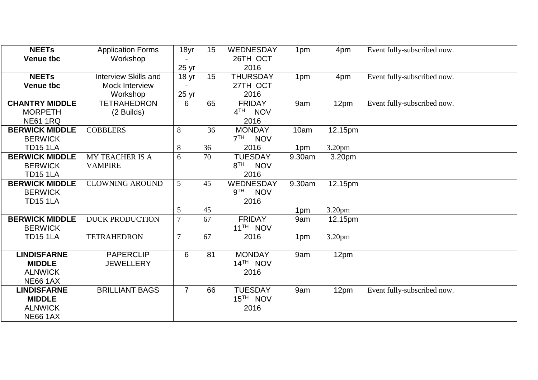| <b>NEETS</b>          | <b>Application Forms</b>    | 18yr             | 15 | WEDNESDAY                     | 1pm    | 4pm                | Event fully-subscribed now. |
|-----------------------|-----------------------------|------------------|----|-------------------------------|--------|--------------------|-----------------------------|
| <b>Venue tbc</b>      | Workshop                    |                  |    | 26TH OCT                      |        |                    |                             |
|                       |                             | 25 <sub>yr</sub> |    | 2016                          |        |                    |                             |
| <b>NEETS</b>          | <b>Interview Skills and</b> | 18 <sub>yr</sub> | 15 | <b>THURSDAY</b>               | 1pm    | 4pm                | Event fully-subscribed now. |
| <b>Venue tbc</b>      | <b>Mock Interview</b>       |                  |    | 27TH OCT                      |        |                    |                             |
|                       | Workshop                    | 25 yr            |    | 2016                          |        |                    |                             |
| <b>CHANTRY MIDDLE</b> | <b>TETRAHEDRON</b>          | 6                | 65 | <b>FRIDAY</b>                 | 9am    | 12pm               | Event fully-subscribed now. |
| <b>MORPETH</b>        | (2 Builds)                  |                  |    | 4 <sup>TH</sup><br><b>NOV</b> |        |                    |                             |
| <b>NE61 1RQ</b>       |                             |                  |    | 2016                          |        |                    |                             |
| <b>BERWICK MIDDLE</b> | <b>COBBLERS</b>             | 8                | 36 | <b>MONDAY</b>                 | 10am   | 12.15pm            |                             |
| <b>BERWICK</b>        |                             |                  |    | 7 <sup>TH</sup><br><b>NOV</b> |        |                    |                             |
| <b>TD15 1LA</b>       |                             | 8                | 36 | 2016                          | 1pm    | 3.20pm             |                             |
| <b>BERWICK MIDDLE</b> | <b>MY TEACHER IS A</b>      | 6                | 70 | <b>TUESDAY</b>                | 9.30am | 3.20pm             |                             |
| <b>BERWICK</b>        | <b>VAMPIRE</b>              |                  |    | $8^{TH}$<br><b>NOV</b>        |        |                    |                             |
| <b>TD15 1LA</b>       |                             |                  |    | 2016                          |        |                    |                             |
| <b>BERWICK MIDDLE</b> | <b>CLOWNING AROUND</b>      | $\overline{5}$   | 45 | WEDNESDAY                     | 9.30am | 12.15pm            |                             |
| <b>BERWICK</b>        |                             |                  |    | 9 <sup>TH</sup><br><b>NOV</b> |        |                    |                             |
| <b>TD15 1LA</b>       |                             |                  |    | 2016                          |        |                    |                             |
|                       |                             | 5                | 45 |                               | 1pm    | 3.20 <sub>pm</sub> |                             |
| <b>BERWICK MIDDLE</b> | <b>DUCK PRODUCTION</b>      | $\overline{7}$   | 67 | <b>FRIDAY</b>                 | 9am    | 12.15pm            |                             |
| <b>BERWICK</b>        |                             |                  |    | 11 <sup>TH</sup> NOV          |        |                    |                             |
| <b>TD15 1LA</b>       | <b>TETRAHEDRON</b>          | $\overline{7}$   | 67 | 2016                          | 1pm    | 3.20 <sub>pm</sub> |                             |
|                       |                             |                  |    |                               |        |                    |                             |
| <b>LINDISFARNE</b>    | <b>PAPERCLIP</b>            | 6                | 81 | <b>MONDAY</b>                 | 9am    | 12pm               |                             |
| <b>MIDDLE</b>         | <b>JEWELLERY</b>            |                  |    | 14 <sup>TH</sup> NOV          |        |                    |                             |
| <b>ALNWICK</b>        |                             |                  |    | 2016                          |        |                    |                             |
| <b>NE66 1AX</b>       |                             |                  |    |                               |        |                    |                             |
| <b>LINDISFARNE</b>    | <b>BRILLIANT BAGS</b>       | $\overline{7}$   | 66 | <b>TUESDAY</b>                | 9am    | 12pm               | Event fully-subscribed now. |
| <b>MIDDLE</b>         |                             |                  |    | 15 <sup>TH</sup> NOV          |        |                    |                             |
| <b>ALNWICK</b>        |                             |                  |    | 2016                          |        |                    |                             |
| <b>NE66 1AX</b>       |                             |                  |    |                               |        |                    |                             |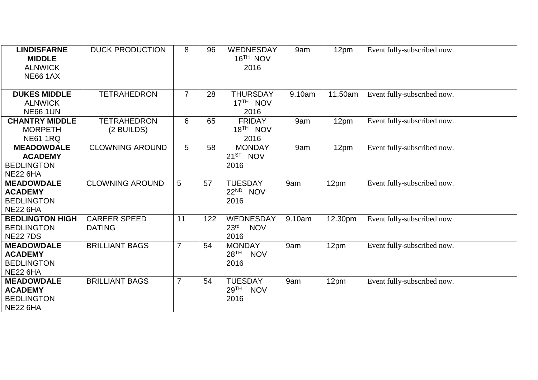| <b>LINDISFARNE</b><br><b>MIDDLE</b><br><b>ALNWICK</b><br><b>NE66 1AX</b>    | <b>DUCK PRODUCTION</b>               | 8              | 96  | <b>WEDNESDAY</b><br>16 <sup>TH</sup> NOV<br>2016         | 9am    | 12pm    | Event fully-subscribed now. |
|-----------------------------------------------------------------------------|--------------------------------------|----------------|-----|----------------------------------------------------------|--------|---------|-----------------------------|
| <b>DUKES MIDDLE</b><br><b>ALNWICK</b><br><b>NE66 1UN</b>                    | <b>TETRAHEDRON</b>                   | $\overline{7}$ | 28  | <b>THURSDAY</b><br>17 <sup>TH</sup> NOV<br>2016          | 9.10am | 11.50am | Event fully-subscribed now. |
| <b>CHANTRY MIDDLE</b><br><b>MORPETH</b><br><b>NE61 1RQ</b>                  | <b>TETRAHEDRON</b><br>(2 BUILDS)     | 6              | 65  | <b>FRIDAY</b><br>18 <sup>TH</sup> NOV<br>2016            | 9am    | 12pm    | Event fully-subscribed now. |
| <b>MEADOWDALE</b><br><b>ACADEMY</b><br><b>BEDLINGTON</b><br><b>NE22 6HA</b> | <b>CLOWNING AROUND</b>               | 5              | 58  | <b>MONDAY</b><br>$21^{ST}$ NOV<br>2016                   | 9am    | 12pm    | Event fully-subscribed now. |
| <b>MEADOWDALE</b><br><b>ACADEMY</b><br><b>BEDLINGTON</b><br><b>NE22 6HA</b> | <b>CLOWNING AROUND</b>               | 5              | 57  | <b>TUESDAY</b><br>22 <sup>ND</sup> NOV<br>2016           | 9am    | 12pm    | Event fully-subscribed now. |
| <b>BEDLINGTON HIGH</b><br><b>BEDLINGTON</b><br><b>NE22 7DS</b>              | <b>CAREER SPEED</b><br><b>DATING</b> | 11             | 122 | WEDNESDAY<br>23 <sup>rd</sup><br><b>NOV</b><br>2016      | 9.10am | 12.30pm | Event fully-subscribed now. |
| <b>MEADOWDALE</b><br><b>ACADEMY</b><br><b>BEDLINGTON</b><br><b>NE22 6HA</b> | <b>BRILLIANT BAGS</b>                | $\overline{7}$ | 54  | <b>MONDAY</b><br>28 <sup>TH</sup><br><b>NOV</b><br>2016  | 9am    | 12pm    | Event fully-subscribed now. |
| <b>MEADOWDALE</b><br><b>ACADEMY</b><br><b>BEDLINGTON</b><br><b>NE22 6HA</b> | <b>BRILLIANT BAGS</b>                | $\overline{7}$ | 54  | <b>TUESDAY</b><br>29 <sup>TH</sup><br><b>NOV</b><br>2016 | 9am    | 12pm    | Event fully-subscribed now. |